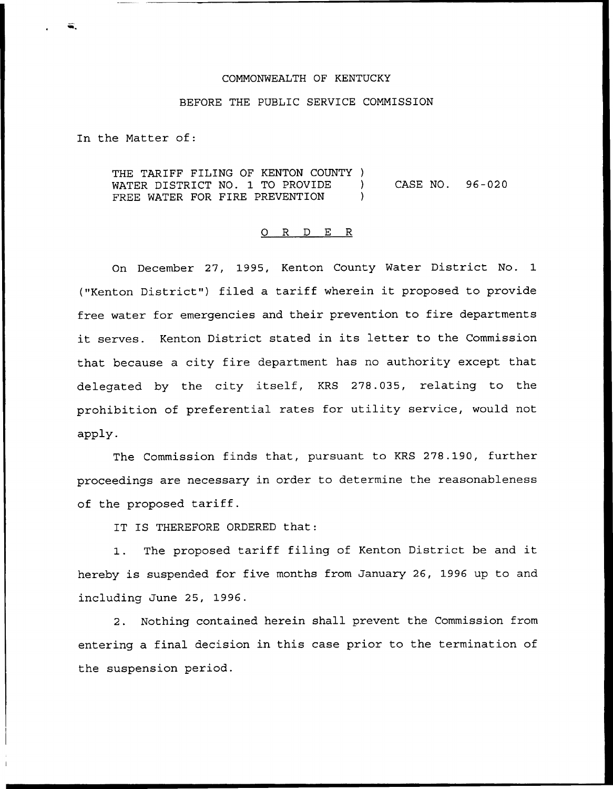## COMMONWEALTH OF KENTUCKY

## BEFORE THE PUBLIC SERVICE COMMISSION

In the Matter of:

THE TARIFF FILING OF KENTON COUNTY )<br>WATER DISTRICT NO 1 TO PROVIDE ) WATER DISTRICT NO. 1 TO PROVIDE ) CASE NO. 96-020 FREE WATER FOR FIRE PREVENTION )

## 0 R <sup>D</sup> E R

On December 27, 1995, Kenton County Water District No. 1 ("Kenton District") filed a tariff wherein it proposed to provide free water for emergencies and their prevention to fire departments it serves. Kenton District stated in its letter to the Commission that because a city fire department has no authority except that delegated by the city itself, KRS 278.035, relating to the prohibition of preferential rates for utility service, would not apply.

The Commission finds that, pursuant to KRS 278.190, further proceedings are necessary in order to determine the reasonableness of the proposed tariff.

IT IS THEREFORE ORDERED that:

1. The proposed tariff filing of Kenton District be and it hereby is suspended for five months from January 26, 1996 up to and including June 25, 1996.

2. Nothing contained herein shall prevent the Commission from entering a final decision in this case prior to the termination of the suspension period.